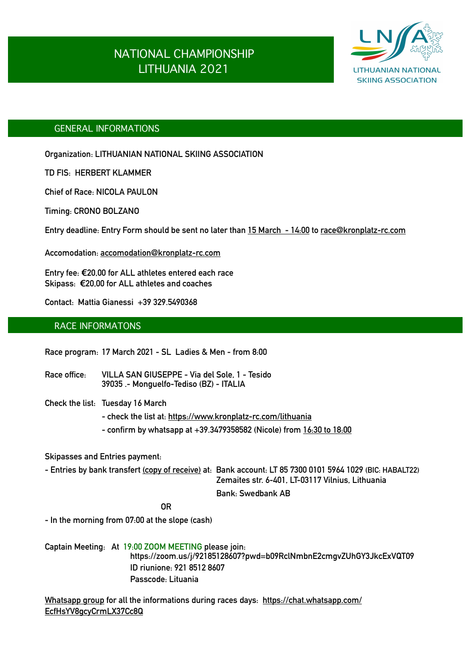# NATIONAL CHAMPIONSHIP LITHUANIA 2021



## GENERAL INFORMATIONS

**Organization: LITHUANIAN NATIONAL SKIING ASSOCIATION** 

**TD FIS: HERBERT KLAMMER**

**Chief of Race: NICOLA PAULON** 

**Timing: CRONO BOLZANO**

**Entry deadline: Entry Form should be sent no later than 15 March - 14:00 to [race@kronplatz-rc.com](mailto:race@kronplatz-rc.com)**

**Accomodation: [accomodation@kronplatz-rc.com](mailto:accomodation@kronplatz-rc.com)** 

**Entry fee: €20,00 for ALL athletes entered each race Skipass: €20,00 for ALL athletes and coaches** 

**Contact: Mattia Gianessi +39 329.5490368** 

### RACE INFORMATONS

**Race program: 17 March 2021 - SL Ladies & Men - from 8:00** 

**Race office: VILLA SAN GIUSEPPE - Via del Sole, 1 - Tesido 39035 .- Monguelfo-Tediso (BZ) - ITALIA** 

**Check the list: Tuesday 16 March** 

 **- check the list at: <https://www.kronplatz-rc.com/lithuania>** 

 **- confirm by whatsapp at +39.3479358582 (Nicole) from 16:30 to 18:00** 

**Skipasses and Entries payment:** 

**- Entries by bank transfert (copy of receive) at: Bank account: LT 85 7300 0101 5964 1029 (BIC: HABALT22) Zemaites str. 6-401, LT-03117 Vilnius, Lithuania Bank: Swedbank AB** 

*OR* 

**- In the morning from 07:00 at the slope (cash)** 

**Captain Meeting: At 19:00 ZOOM MEETING please join: https://zoom.us/j/92185128607?pwd=b09RclNmbnE2cmgvZUhGY3JkcExVQT09 ID riunione: 921 8512 8607 Passcode: Lituania** 

**Whatsapp group for all the informations during races days: [https://chat.whatsapp.com/](https://chat.whatsapp.com/EcfHsYV8gcyCrmLX37Cc8Q) [EcfHsYV8gcyCrmLX37Cc8Q](https://chat.whatsapp.com/EcfHsYV8gcyCrmLX37Cc8Q)**